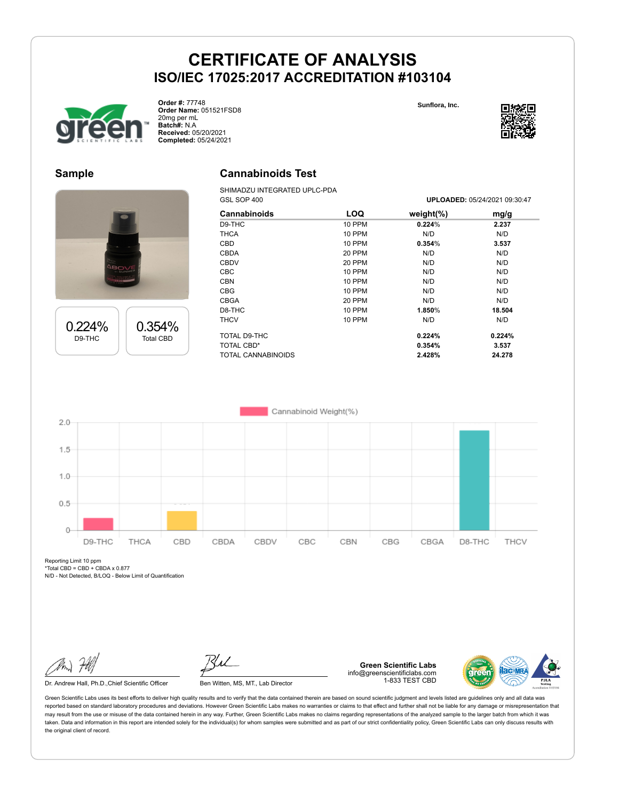

**Order #:** 77748 **Order Name:** 051521FSD8 20mg per mL **Batch#:** N.A **Received:** 05/20/2021 **Completed:** 05/24/2021

**Sunflora, Inc.**



GSL SOP 400 **UPLOADED:** 05/24/2021 09:30:47

#### **Sample**

0.224% D9-THC

0.354% Total CBD



SHIMADZU INTEGRATED UPLC-PDA

| ----               |               |               |        |  |
|--------------------|---------------|---------------|--------|--|
| Cannabinoids       | <b>LOQ</b>    | weight $(\%)$ | mg/g   |  |
| D9-THC             | 10 PPM        | 0.224%        | 2.237  |  |
| <b>THCA</b>        | 10 PPM        | N/D           | N/D    |  |
| <b>CBD</b>         | 10 PPM        | 0.354%        | 3.537  |  |
| <b>CBDA</b>        | 20 PPM        | N/D           | N/D    |  |
| <b>CBDV</b>        | 20 PPM        | N/D           | N/D    |  |
| <b>CBC</b>         | <b>10 PPM</b> | N/D           | N/D    |  |
| <b>CBN</b>         | 10 PPM        | N/D           | N/D    |  |
| <b>CBG</b>         | 10 PPM        | N/D           | N/D    |  |
| <b>CBGA</b>        | 20 PPM        | N/D           | N/D    |  |
| D8-THC             | 10 PPM        | 1.850%        | 18.504 |  |
| <b>THCV</b>        | 10 PPM        | N/D           | N/D    |  |
| TOTAL D9-THC       |               | 0.224%        | 0.224% |  |
| <b>TOTAL CBD*</b>  |               | 0.354%        | 3.537  |  |
| TOTAL CANNABINOIDS |               | 2.428%        | 24.278 |  |
|                    |               |               |        |  |



Reporting Limit 10 ppm  $*Total$  CBD = CBD + CBDA x 0.877

N/D - Not Detected, B/LOQ - Below Limit of Quantification

Dr. Andrew Hall, Ph.D., Chief Scientific Officer Ben Witten, MS, MT., Lab Director

**Green Scientific Labs** info@greenscientificlabs.com 1-833 TEST CBD

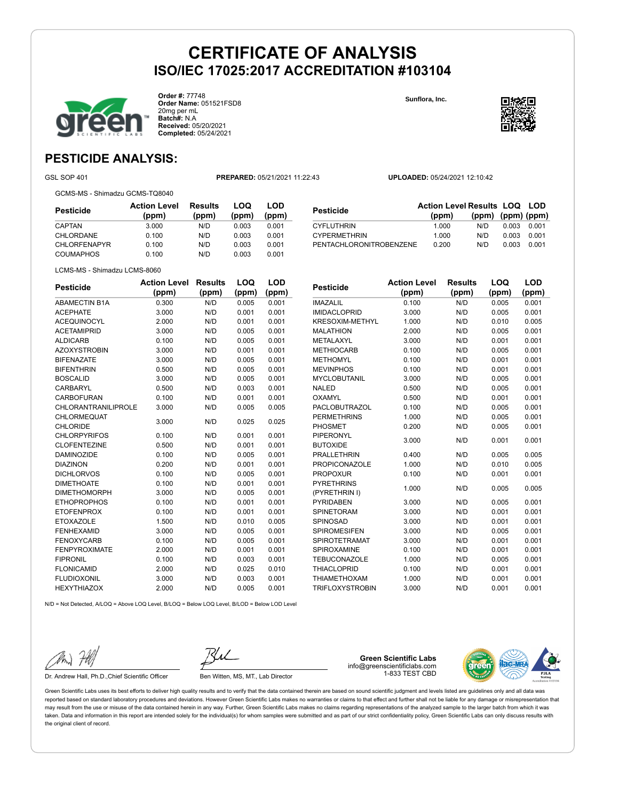

**Order #:** 77748 **Order Name:** 051521FSD8 20mg per mL **Batch#:** N.A **Received:** 05/20/2021 **Completed:** 05/24/2021

295 Interlocken Blvd. **Sunflora, Inc.**



#### **PESTICIDE ANALYSIS:**

GSL SOP 401 **PREPARED:** 05/21/2021 11:22:43 **UPLOADED:** 05/24/2021 12:10:42

GCMS-MS - Shimadzu GCMS-TQ8040

**Pesticide Action Level (ppm) Results (ppm) LOQ (ppm) LOD (ppm)** CAPTAN 3.000 N/D 0.003 0.001 CHLORDANE 0.100 N/D 0.003 0.001 CHLORFENAPYR 0.100 N/D 0.003 0.001 COUMAPHOS 0.100 N/D 0.003 0.001

| Pesticide               | <b>Action Level Results LOQ LOD</b> |                   |       |       |
|-------------------------|-------------------------------------|-------------------|-------|-------|
|                         | (ppm)                               | (ppm) (ppm) (ppm) |       |       |
| CYFLUTHRIN              | 1.000                               | N/D               | 0.003 | 0.001 |
| <b>CYPERMETHRIN</b>     | 1.000                               | N/D               | 0.003 | 0.001 |
| PENTACHLORONITROBENZENE | 0.200                               | N/D               | 0.003 | 0.001 |

LCMS-MS - Shimadzu LCMS-8060

| <b>Pesticide</b>           | <b>Action Level</b> | <b>Results</b> | LOQ   | LOD   |
|----------------------------|---------------------|----------------|-------|-------|
|                            | (ppm)               | (ppm)          | (ppm) | (ppm) |
| <b>ABAMECTIN B1A</b>       | 0.300               | N/D            | 0.005 | 0.001 |
| <b>ACEPHATE</b>            | 3.000               | N/D            | 0.001 | 0.001 |
| <b>ACEQUINOCYL</b>         | 2.000               | N/D            | 0.001 | 0.001 |
| <b>ACETAMIPRID</b>         | 3.000               | N/D            | 0.005 | 0.001 |
| <b>ALDICARB</b>            | 0.100               | N/D            | 0.005 | 0.001 |
| <b>AZOXYSTROBIN</b>        | 3.000               | N/D            | 0.001 | 0.001 |
| <b>BIFENAZATE</b>          | 3.000               | N/D            | 0.005 | 0.001 |
| <b>BIFENTHRIN</b>          | 0.500               | N/D            | 0.005 | 0.001 |
| <b>BOSCALID</b>            | 3.000               | N/D            | 0.005 | 0.001 |
| <b>CARBARYL</b>            | 0.500               | N/D            | 0.003 | 0.001 |
| <b>CARBOFURAN</b>          | 0.100               | N/D            | 0.001 | 0.001 |
| <b>CHLORANTRANILIPROLE</b> | 3.000               | N/D            | 0.005 | 0.005 |
| CHLORMEQUAT                | 3.000               | N/D            | 0.025 | 0.025 |
| <b>CHLORIDE</b>            |                     |                |       |       |
| <b>CHLORPYRIFOS</b>        | 0.100               | N/D            | 0.001 | 0.001 |
| <b>CLOFENTEZINE</b>        | 0.500               | N/D            | 0.001 | 0.001 |
| <b>DAMINOZIDE</b>          | 0.100               | N/D            | 0.005 | 0.001 |
| <b>DIAZINON</b>            | 0.200               | N/D            | 0.001 | 0.001 |
| <b>DICHLORVOS</b>          | 0.100               | N/D            | 0.005 | 0.001 |
| <b>DIMETHOATE</b>          | 0.100               | N/D            | 0.001 | 0.001 |
| <b>DIMETHOMORPH</b>        | 3.000               | N/D            | 0.005 | 0.001 |
| <b>ETHOPROPHOS</b>         | 0.100               | N/D            | 0.001 | 0.001 |
| <b>ETOFENPROX</b>          | 0.100               | N/D            | 0.001 | 0.001 |
| <b>ETOXAZOLE</b>           | 1.500               | N/D            | 0.010 | 0.005 |
| <b>FENHEXAMID</b>          | 3.000               | N/D            | 0.005 | 0.001 |
| <b>FENOXYCARB</b>          | 0.100               | N/D            | 0.005 | 0.001 |
| <b>FENPYROXIMATE</b>       | 2.000               | N/D            | 0.001 | 0.001 |
| <b>FIPRONIL</b>            | 0.100               | N/D            | 0.003 | 0.001 |
| <b>FLONICAMID</b>          | 2.000               | N/D            | 0.025 | 0.010 |
| <b>FLUDIOXONIL</b>         | 3.000               | N/D            | 0.003 | 0.001 |
| <b>HEXYTHIAZOX</b>         | 2.000               | N/D            | 0.005 | 0.001 |

| <b>Pesticide</b>       | <b>Action Level</b> | <b>Results</b> | LOQ   | LOD   |
|------------------------|---------------------|----------------|-------|-------|
|                        | (ppm)               | (ppm)          | (ppm) | (ppm) |
| <b>IMAZALIL</b>        | 0.100               | N/D            | 0.005 | 0.001 |
| <b>IMIDACLOPRID</b>    | 3.000               | N/D            | 0.005 | 0.001 |
| <b>KRESOXIM-METHYL</b> | 1.000               | N/D            | 0.010 | 0.005 |
| <b>MALATHION</b>       | 2.000               | N/D            | 0.005 | 0.001 |
| <b>METALAXYL</b>       | 3.000               | N/D            | 0.001 | 0.001 |
| <b>METHIOCARB</b>      | 0.100               | N/D            | 0.005 | 0.001 |
| <b>METHOMYL</b>        | 0.100               | N/D            | 0.001 | 0.001 |
| <b>MEVINPHOS</b>       | 0.100               | N/D            | 0.001 | 0.001 |
| <b>MYCLOBUTANIL</b>    | 3.000               | N/D            | 0.005 | 0.001 |
| <b>NALED</b>           | 0.500               | N/D            | 0.005 | 0.001 |
| OXAMYL                 | 0.500               | N/D            | 0.001 | 0.001 |
| <b>PACLOBUTRAZOL</b>   | 0.100               | N/D            | 0.005 | 0.001 |
| <b>PERMETHRINS</b>     | 1.000               | N/D            | 0.005 | 0.001 |
| <b>PHOSMET</b>         | 0.200               | N/D            | 0.005 | 0.001 |
| <b>PIPERONYL</b>       |                     |                |       |       |
| <b>BUTOXIDE</b>        | 3.000               | N/D            | 0.001 | 0.001 |
| <b>PRALLETHRIN</b>     | 0.400               | N/D            | 0.005 | 0.005 |
| <b>PROPICONAZOLE</b>   | 1.000               | N/D            | 0.010 | 0.005 |
| <b>PROPOXUR</b>        | 0.100               | N/D            | 0.001 | 0.001 |
| <b>PYRETHRINS</b>      |                     |                |       |       |
| (PYRETHRIN I)          | 1.000               | N/D            | 0.005 | 0.005 |
| <b>PYRIDABEN</b>       | 3.000               | N/D            | 0.005 | 0.001 |
| SPINETORAM             | 3.000               | N/D            | 0.001 | 0.001 |
| <b>SPINOSAD</b>        | 3.000               | N/D            | 0.001 | 0.001 |
| <b>SPIROMESIFEN</b>    | 3.000               | N/D            | 0.005 | 0.001 |
| <b>SPIROTETRAMAT</b>   | 3.000               | N/D            | 0.001 | 0.001 |
| <b>SPIROXAMINE</b>     | 0.100               | N/D            | 0.001 | 0.001 |
| <b>TEBUCONAZOLE</b>    | 1.000               | N/D            | 0.005 | 0.001 |

THIACLOPRID 0.100 N/D 0.001 0.001 THIAMETHOXAM 1.000 N/D 0.001 0.001 TRIFLOXYSTROBIN 3.000 N/D 0.001 0.001

N/D = Not Detected, A/LOQ = Above LOQ Level, B/LOQ = Below LOQ Level, B/LOD = Below LOD Level

Dr. Andrew Hall, Ph.D., Chief Scientific Officer Ben Witten, MS, MT., Lab Director

**Green Scientific Labs** info@greenscientificlabs.com 1-833 TEST CBD

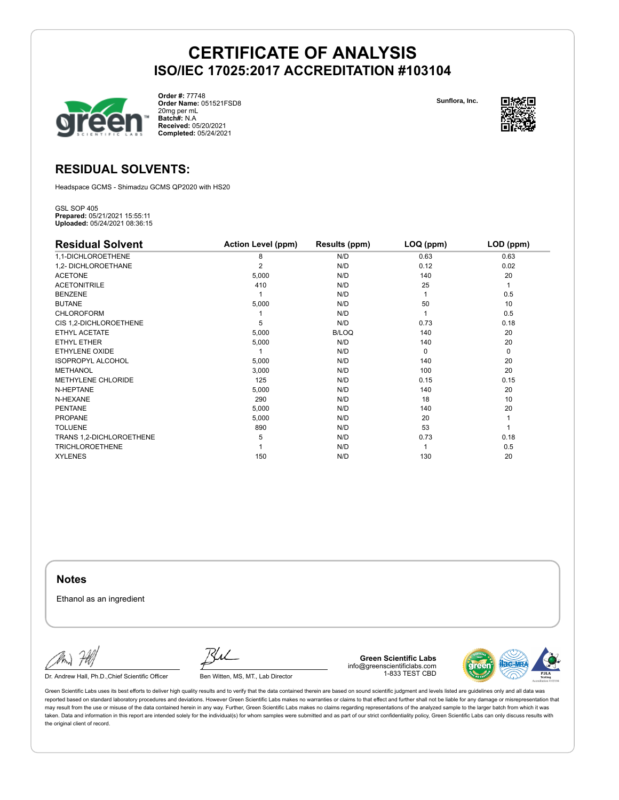

**Order #:** 77748 **Order Name:** 051521FSD8 20mg per mL **Batch#:** N.A **Received:** 05/20/2021 **Completed:** 05/24/2021

**Sunflora, Inc.**



#### **RESIDUAL SOLVENTS:**

Headspace GCMS - Shimadzu GCMS QP2020 with HS20

GSL SOP 405 **Prepared:** 05/21/2021 15:55:11 **Uploaded:** 05/24/2021 08:36:15

| <b>Residual Solvent</b>  | <b>Action Level (ppm)</b> | Results (ppm) | LOQ (ppm) | LOD (ppm) |
|--------------------------|---------------------------|---------------|-----------|-----------|
| 1,1-DICHLOROETHENE       | 8                         | N/D           | 0.63      | 0.63      |
| 1,2- DICHLOROETHANE      | 2                         | N/D           | 0.12      | 0.02      |
| <b>ACETONE</b>           | 5,000                     | N/D           | 140       | 20        |
| <b>ACETONITRILE</b>      | 410                       | N/D           | 25        |           |
| <b>BENZENE</b>           |                           | N/D           |           | 0.5       |
| <b>BUTANE</b>            | 5,000                     | N/D           | 50        | 10        |
| <b>CHLOROFORM</b>        |                           | N/D           |           | 0.5       |
| CIS 1,2-DICHLOROETHENE   | 5                         | N/D           | 0.73      | 0.18      |
| ETHYL ACETATE            | 5,000                     | <b>B/LOQ</b>  | 140       | 20        |
| ETHYL ETHER              | 5,000                     | N/D           | 140       | 20        |
| ETHYLENE OXIDE           |                           | N/D           | 0         | 0         |
| <b>ISOPROPYL ALCOHOL</b> | 5,000                     | N/D           | 140       | 20        |
| <b>METHANOL</b>          | 3,000                     | N/D           | 100       | 20        |
| METHYLENE CHLORIDE       | 125                       | N/D           | 0.15      | 0.15      |
| N-HEPTANE                | 5,000                     | N/D           | 140       | 20        |
| N-HEXANE                 | 290                       | N/D           | 18        | 10        |
| <b>PENTANE</b>           | 5,000                     | N/D           | 140       | 20        |
| <b>PROPANE</b>           | 5,000                     | N/D           | 20        |           |
| <b>TOLUENE</b>           | 890                       | N/D           | 53        |           |
| TRANS 1,2-DICHLOROETHENE | 5                         | N/D           | 0.73      | 0.18      |
| <b>TRICHLOROETHENE</b>   |                           | N/D           |           | 0.5       |
| <b>XYLENES</b>           | 150                       | N/D           | 130       | 20        |

**Notes**

Ethanol as an ingredient

Dr. Andrew Hall, Ph.D., Chief Scientific Officer Ben Witten, MS, MT., Lab Director

**Green Scientific Labs** info@greenscientificlabs.com 1-833 TEST CBD

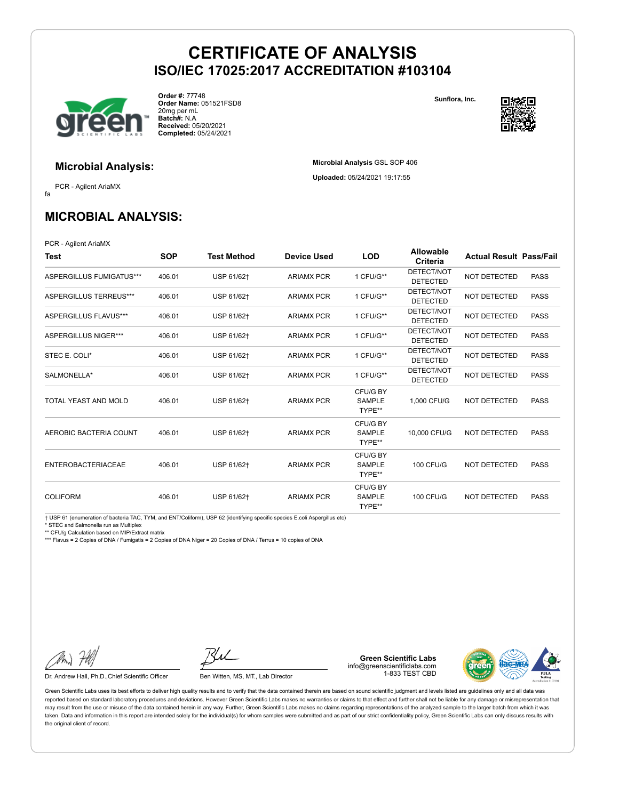**Microbial Analysis** GSL SOP 406 **Uploaded:** 05/24/2021 19:17:55



**Order #:** 77748 **Order Name:** 051521FSD8 20mg per mL **Batch#:** N.A **Received:** 05/20/2021 **Completed:** 05/24/2021

**Sunflora, Inc.**



**Microbial Analysis:**

fa PCR - Agilent AriaMX

### **MICROBIAL ANALYSIS:**

PCR - Agilent AriaMX

| Test                        | <b>SOP</b> | <b>Test Method</b> | <b>Device Used</b> | <b>LOD</b>                          | <b>Allowable</b><br>Criteria  | <b>Actual Result Pass/Fail</b> |             |
|-----------------------------|------------|--------------------|--------------------|-------------------------------------|-------------------------------|--------------------------------|-------------|
| ASPERGILLUS FUMIGATUS***    | 406.01     | USP 61/62+         | <b>ARIAMX PCR</b>  | 1 CFU/G**                           | DETECT/NOT<br><b>DETECTED</b> | <b>NOT DETECTED</b>            | <b>PASS</b> |
| ASPERGILLUS TERREUS***      | 406.01     | USP 61/62+         | <b>ARIAMX PCR</b>  | 1 CFU/G**                           | DETECT/NOT<br><b>DETECTED</b> | <b>NOT DETECTED</b>            | <b>PASS</b> |
| ASPERGILLUS FLAVUS***       | 406.01     | USP 61/62+         | <b>ARIAMX PCR</b>  | 1 CFU/G**                           | DETECT/NOT<br><b>DETECTED</b> | NOT DETECTED                   | <b>PASS</b> |
| <b>ASPERGILLUS NIGER***</b> | 406.01     | USP 61/62+         | <b>ARIAMX PCR</b>  | 1 CFU/G**                           | DETECT/NOT<br><b>DETECTED</b> | NOT DETECTED                   | <b>PASS</b> |
| STEC E. COLI*               | 406.01     | USP 61/62+         | <b>ARIAMX PCR</b>  | 1 CFU/G**                           | DETECT/NOT<br><b>DETECTED</b> | NOT DETECTED                   | <b>PASS</b> |
| SALMONELLA*                 | 406.01     | USP 61/62+         | <b>ARIAMX PCR</b>  | 1 CFU/G**                           | DETECT/NOT<br><b>DETECTED</b> | <b>NOT DETECTED</b>            | <b>PASS</b> |
| TOTAL YEAST AND MOLD        | 406.01     | USP 61/62+         | <b>ARIAMX PCR</b>  | CFU/G BY<br><b>SAMPLE</b><br>TYPE** | 1.000 CFU/G                   | NOT DETECTED                   | <b>PASS</b> |
| AEROBIC BACTERIA COUNT      | 406.01     | USP 61/62+         | <b>ARIAMX PCR</b>  | CFU/G BY<br><b>SAMPLE</b><br>TYPE** | 10,000 CFU/G                  | NOT DETECTED                   | <b>PASS</b> |
| <b>ENTEROBACTERIACEAE</b>   | 406.01     | USP 61/62+         | <b>ARIAMX PCR</b>  | CFU/G BY<br><b>SAMPLE</b><br>TYPE** | <b>100 CFU/G</b>              | NOT DETECTED                   | <b>PASS</b> |
| <b>COLIFORM</b>             | 406.01     | USP 61/62+         | <b>ARIAMX PCR</b>  | CFU/G BY<br><b>SAMPLE</b><br>TYPE** | <b>100 CFU/G</b>              | NOT DETECTED                   | <b>PASS</b> |

† USP 61 (enumeration of bacteria TAC, TYM, and ENT/Coliform), USP 62 (identifying specific species E.coli Aspergillus etc)

\* STEC and Salmonella run as Multiplex

\*\* CFU/g Calculation based on MIP/Extract matrix

\*\*\* Flavus = 2 Copies of DNA / Fumigatis = 2 Copies of DNA Niger = 20 Copies of DNA / Terrus = 10 copies of DNA

Dr. Andrew Hall, Ph.D., Chief Scientific Officer Ben Witten, MS, MT., Lab Director

**Green Scientific Labs** info@greenscientificlabs.com 1-833 TEST CBD